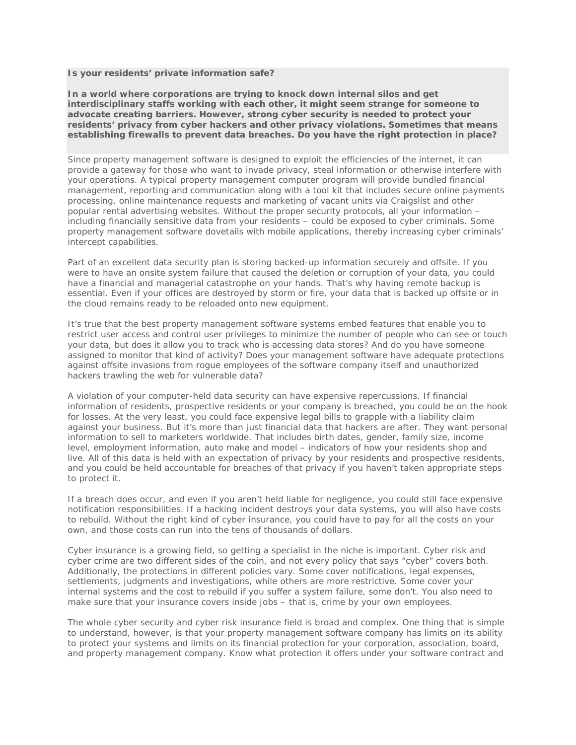## **Is your residents' private information safe?**

**In a world where corporations are trying to knock down internal silos and get interdisciplinary staffs working with each other, it might seem strange for someone to advocate creating barriers. However, strong cyber security is needed to protect your residents' privacy from cyber hackers and other privacy violations. Sometimes that means establishing firewalls to prevent data breaches. Do you have the right protection in place?**

Since property management software is designed to exploit the efficiencies of the internet, it can provide a gateway for those who want to invade privacy, steal information or otherwise interfere with your operations. A typical property management computer program will provide bundled financial management, reporting and communication along with a tool kit that includes secure online payments processing, online maintenance requests and marketing of vacant units via Craigslist and other popular rental advertising websites. Without the proper security protocols, all your information – including financially sensitive data from your residents – could be exposed to cyber criminals. Some property management software dovetails with mobile applications, thereby increasing cyber criminals' intercept capabilities.

Part of an excellent data security plan is storing backed-up information securely and offsite. If you were to have an onsite system failure that caused the deletion or corruption of your data, you could have a financial and managerial catastrophe on your hands. That's why having remote backup is essential. Even if your offices are destroyed by storm or fire, your data that is backed up offsite or in the cloud remains ready to be reloaded onto new equipment.

It's true that the best property management software systems embed features that enable you to restrict user access and control user privileges to minimize the number of people who can see or touch your data, but does it allow you to track who is accessing data stores? And do you have someone assigned to monitor that kind of activity? Does your management software have adequate protections against offsite invasions from rogue employees of the software company itself and unauthorized hackers trawling the web for vulnerable data?

A violation of your computer-held data security can have expensive repercussions. If financial information of residents, prospective residents or your company is breached, you could be on the hook for losses. At the very least, you could face expensive legal bills to grapple with a liability claim against your business. But it's more than just financial data that hackers are after. They want personal information to sell to marketers worldwide. That includes birth dates, gender, family size, income level, employment information, auto make and model – indicators of how your residents shop and live. All of this data is held with an expectation of privacy by your residents and prospective residents, and you could be held accountable for breaches of that privacy if you haven't taken appropriate steps to protect it.

If a breach does occur, and even if you aren't held liable for negligence, you could still face expensive notification responsibilities. If a hacking incident destroys your data systems, you will also have costs to rebuild. Without the right kind of cyber insurance, you could have to pay for all the costs on your own, and those costs can run into the tens of thousands of dollars.

Cyber insurance is a growing field, so getting a specialist in the niche is important. Cyber risk and cyber crime are two different sides of the coin, and not every policy that says "cyber" covers both. Additionally, the protections in different policies vary. Some cover notifications, legal expenses, settlements, judgments and investigations, while others are more restrictive. Some cover your internal systems and the cost to rebuild if you suffer a system failure, some don't. You also need to make sure that your insurance covers inside jobs – that is, crime by your own employees.

The whole cyber security and cyber risk insurance field is broad and complex. One thing that is simple to understand, however, is that your property management software company has limits on its ability to protect your systems and limits on its financial protection for your corporation, association, board, and property management company. Know what protection it offers under your software contract and